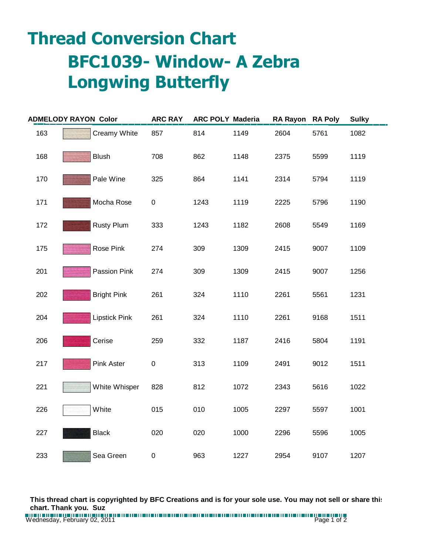## **Thread Conversion Chart BFC1039- Window- A Zebra Longwing Butterfly**

|     | <b>ADMELODY RAYON Color</b> | <b>ARC RAY</b> | <b>ARC POLY Maderia</b> |      | <b>RA Rayon</b> | <b>RA Poly</b> | <b>Sulky</b> |
|-----|-----------------------------|----------------|-------------------------|------|-----------------|----------------|--------------|
| 163 | Creamy White                | 857            | 814                     | 1149 | 2604            | 5761           | 1082         |
| 168 | <b>Blush</b>                | 708            | 862                     | 1148 | 2375            | 5599           | 1119         |
| 170 | Pale Wine                   | 325            | 864                     | 1141 | 2314            | 5794           | 1119         |
| 171 | Mocha Rose                  | $\pmb{0}$      | 1243                    | 1119 | 2225            | 5796           | 1190         |
| 172 | <b>Rusty Plum</b>           | 333            | 1243                    | 1182 | 2608            | 5549           | 1169         |
| 175 | Rose Pink                   | 274            | 309                     | 1309 | 2415            | 9007           | 1109         |
| 201 | Passion Pink                | 274            | 309                     | 1309 | 2415            | 9007           | 1256         |
| 202 | <b>Bright Pink</b>          | 261            | 324                     | 1110 | 2261            | 5561           | 1231         |
| 204 | <b>Lipstick Pink</b>        | 261            | 324                     | 1110 | 2261            | 9168           | 1511         |
| 206 | Cerise                      | 259            | 332                     | 1187 | 2416            | 5804           | 1191         |
| 217 | Pink Aster                  | $\mathsf 0$    | 313                     | 1109 | 2491            | 9012           | 1511         |
| 221 | White Whisper               | 828            | 812                     | 1072 | 2343            | 5616           | 1022         |
| 226 | White                       | 015            | 010                     | 1005 | 2297            | 5597           | 1001         |
| 227 | <b>Black</b>                | 020            | 020                     | 1000 | 2296            | 5596           | 1005         |
| 233 | Sea Green                   | $\pmb{0}$      | 963                     | 1227 | 2954            | 9107           | 1207         |

**This thread chart is copyrighted by BFC Creations and is for your sole use. You may not sell or share this chart. Thank you. Suz**